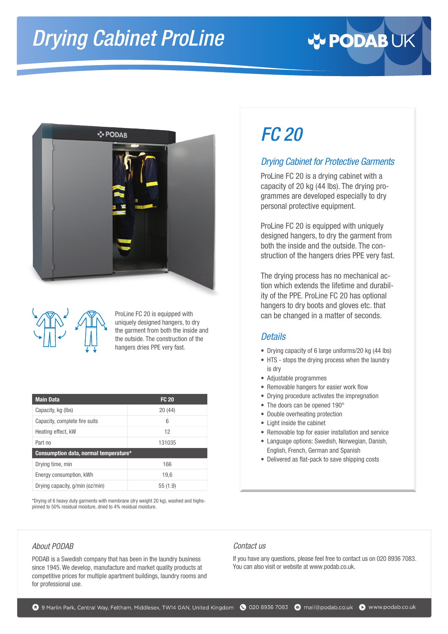# *Drying Cabinet ProLine*







ProLine FC 20 is equipped with uniquely designed hangers, to dry the garment from both the inside and the outside. The construction of the hangers dries PPE very fast.

| <b>Main Data</b>                      | <b>FC 20</b> |  |  |  |
|---------------------------------------|--------------|--|--|--|
| Capacity, kg (lbs)                    | 20(44)       |  |  |  |
| Capacity, complete fire suits         | 6            |  |  |  |
| Heating effect, kW                    | 12           |  |  |  |
| Part no                               | 131035       |  |  |  |
| Consumption data, normal temperature* |              |  |  |  |
| Drying time, min                      | 166          |  |  |  |
| Energy consumption, kWh               | 19.6         |  |  |  |
| Drying capacity, g/min (oz/min)       | 55(1.9)      |  |  |  |

\*Drying of 6 heavy duty garments with membrane (dry weight 20 kg), washed and highspinned to 50% residual moisture, dried to 4% residual moisture.

#### *About PODAB*

PODAB is a Swedish company that has been in the laundry business since 1945. We develop, manufacture and market quality products at competitive prices for multiple apartment buildings, laundry rooms and for professional use.

## *FC 20*

### *Drying Cabinet for Protective Garments*

ProLine FC 20 is a drying cabinet with a capacity of 20 kg (44 lbs). The drying programmes are developed especially to dry personal protective equipment.

ProLine FC 20 is equipped with uniquely designed hangers, to dry the garment from both the inside and the outside. The construction of the hangers dries PPE very fast.

The drying process has no mechanical action which extends the lifetime and durability of the PPE. ProLine FC 20 has optional hangers to dry boots and gloves etc. that can be changed in a matter of seconds.

#### *Details*

- Drying capacity of 6 large uniforms/20 kg (44 lbs)
- HTS stops the drying process when the laundry is dry
- Adjustable programmes
- Removable hangers for easier work flow
- Drying procedure activates the impregnation
- The doors can be opened 190°
- Double overheating protection
- Light inside the cabinet
- Removable top for easier installation and service
- Language options: Swedish, Norwegian, Danish, English, French, German and Spanish
- Delivered as flat-pack to save shipping costs

#### *Contact us*

If you have any questions, please feel free to contact us on 020 8936 7083. You can also visit or website at w[ww.podab.co.uk.](https://www.podab.co.uk)